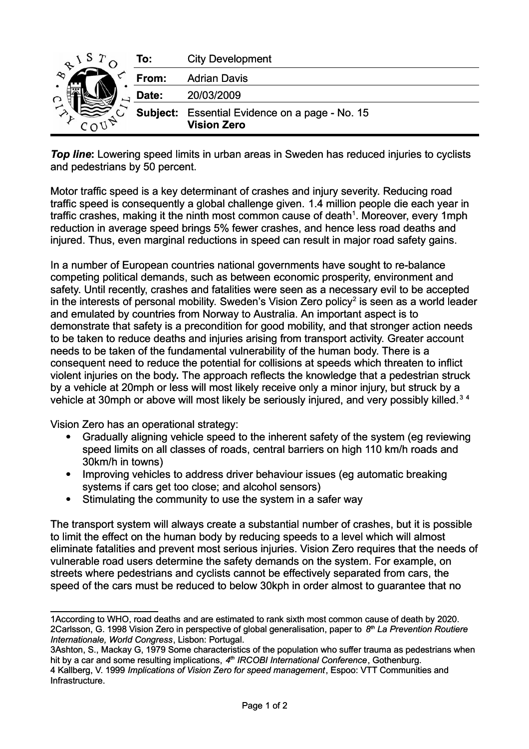|    | To:      | <b>City Development</b>               |
|----|----------|---------------------------------------|
| مم | From:    | <b>Adrian Davis</b>                   |
|    | Date:    | 20/03/2009                            |
|    | Subject: | Essential Evidence on a page - No. 15 |
|    |          | <b>Vision Zero</b>                    |

*Top line***:** Lowering speed limits in urban areas in Sweden has reduced injuries to cyclists and pedestrians by 50 percent.

Motor traffic speed is a key determinant of crashes and injury severity. Reducing road traffic speed is consequently a global challenge given. 1.4 million people die each year in traffic crashes, making it the ninth most common cause of death<sup>[1](#page-0-0)</sup>. Moreover, every 1mph reduction in average speed brings 5% fewer crashes, and hence less road deaths and injured. Thus, even marginal reductions in speed can result in major road safety gains.

In a number of European countries national governments have sought to re-balance competing political demands, such as between economic prosperity, environment and safety. Until recently, crashes and fatalities were seen as a necessary evil to be accepted in the interests of personal mobility. Sweden's Vision Zero policy<sup>[2](#page-0-1)</sup> is seen as a world leader and emulated by countries from Norway to Australia. An important aspect is to demonstrate that safety is a precondition for good mobility, and that stronger action needs to be taken to reduce deaths and injuries arising from transport activity. Greater account needs to be taken of the fundamental vulnerability of the human body. There is a consequent need to reduce the potential for collisions at speeds which threaten to inflict violent injuries on the body**.** The approach reflects the knowledge that a pedestrian struck by a vehicle at 20mph or less will most likely receive only a minor injury, but struck by a vehicle at [3](#page-0-2)0mph or above will most likely be seriously injured, and very possibly killed.<sup>3[4](#page-0-3)</sup>

Vision Zero has an operational strategy:

- Gradually aligning vehicle speed to the inherent safety of the system (eg reviewing speed limits on all classes of roads, central barriers on high 110 km/h roads and 30km/h in towns)
- Improving vehicles to address driver behaviour issues (eg automatic breaking systems if cars get too close; and alcohol sensors)
- Stimulating the community to use the system in a safer way

The transport system will always create a substantial number of crashes, but it is possible to limit the effect on the human body by reducing speeds to a level which will almost eliminate fatalities and prevent most serious injuries. Vision Zero requires that the needs of vulnerable road users determine the safety demands on the system. For example, on streets where pedestrians and cyclists cannot be effectively separated from cars, the speed of the cars must be reduced to below 30kph in order almost to guarantee that no

<span id="page-0-1"></span><span id="page-0-0"></span><sup>1</sup>According to WHO, road deaths and are estimated to rank sixth most common cause of death by 2020. 2Carlsson, G. 1998 Vision Zero in perspective of global generalisation, paper to *8 th La Prevention Routiere Internationale, World Congress*, Lisbon: Portugal.

<span id="page-0-2"></span><sup>3</sup>Ashton, S., Mackay G, 1979 Some characteristics of the population who suffer trauma as pedestrians when hit by a car and some resulting implications, 4<sup>th</sup> IRCOBI International Conference, Gothenburg. 4 Kallberg, V. 1999 *Implications of Vision Zero for speed management*, Espoo: VTT Communities and

<span id="page-0-3"></span>Infrastructure.